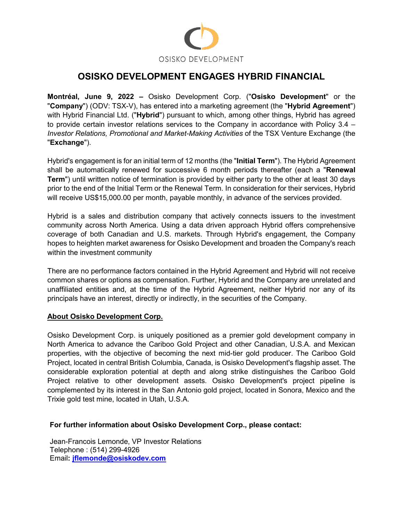

## **OSISKO DEVELOPMENT ENGAGES HYBRID FINANCIAL**

**Montréal, June 9, 2022 –** Osisko Development Corp. ("**Osisko Development**" or the "**Company**") (ODV: TSX-V), has entered into a marketing agreement (the "**Hybrid Agreement**") with Hybrid Financial Ltd. ("**Hybrid**") pursuant to which, among other things, Hybrid has agreed to provide certain investor relations services to the Company in accordance with Policy 3.4 – *Investor Relations, Promotional and Market-Making Activities* of the TSX Venture Exchange (the "**Exchange**").

Hybrid's engagement is for an initial term of 12 months (the "**Initial Term**"). The Hybrid Agreement shall be automatically renewed for successive 6 month periods thereafter (each a "**Renewal Term**") until written notice of termination is provided by either party to the other at least 30 days prior to the end of the Initial Term or the Renewal Term. In consideration for their services, Hybrid will receive US\$15,000.00 per month, payable monthly, in advance of the services provided.

Hybrid is a sales and distribution company that actively connects issuers to the investment community across North America. Using a data driven approach Hybrid offers comprehensive coverage of both Canadian and U.S. markets. Through Hybrid's engagement, the Company hopes to heighten market awareness for Osisko Development and broaden the Company's reach within the investment community

There are no performance factors contained in the Hybrid Agreement and Hybrid will not receive common shares or options as compensation. Further, Hybrid and the Company are unrelated and unaffiliated entities and, at the time of the Hybrid Agreement, neither Hybrid nor any of its principals have an interest, directly or indirectly, in the securities of the Company.

## **About Osisko Development Corp.**

Osisko Development Corp. is uniquely positioned as a premier gold development company in North America to advance the Cariboo Gold Project and other Canadian, U.S.A. and Mexican properties, with the objective of becoming the next mid-tier gold producer. The Cariboo Gold Project, located in central British Columbia, Canada, is Osisko Development's flagship asset. The considerable exploration potential at depth and along strike distinguishes the Cariboo Gold Project relative to other development assets. Osisko Development's project pipeline is complemented by its interest in the San Antonio gold project, located in Sonora, Mexico and the Trixie gold test mine, located in Utah, U.S.A.

## **For further information about Osisko Development Corp., please contact:**

Jean-Francois Lemonde, VP Investor Relations Telephone : (514) 299-4926 Email**: [jflemonde@osiskodev.com](mailto:jflemonde@osiskodev.com)**